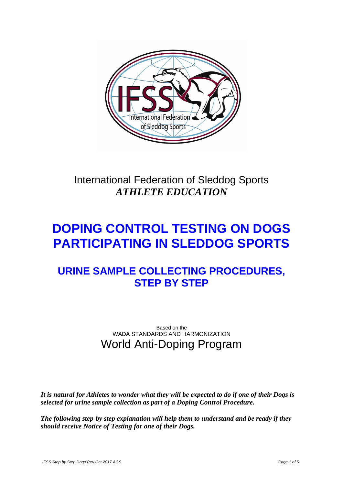

# International Federation of Sleddog Sports *ATHLETE EDUCATION*

# **DOPING CONTROL TESTING ON DOGS PARTICIPATING IN SLEDDOG SPORTS**

# **URINE SAMPLE COLLECTING PROCEDURES, STEP BY STEP**

Based on the WADA STANDARDS AND HARMONIZATION World Anti-Doping Program

*It is natural for Athletes to wonder what they will be expected to do if one of their Dogs is selected for urine sample collection as part of a Doping Control Procedure.*

*The following step-by step explanation will help them to understand and be ready if they should receive Notice of Testing for one of their Dogs.*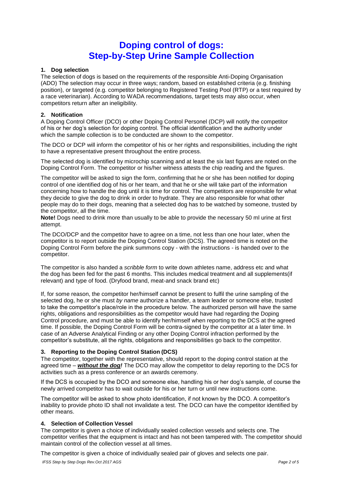### **Doping control of dogs: Step-by-Step Urine Sample Collection**

#### **1. Dog selection**

The selection of dogs is based on the requirements of the responsible Anti-Doping Organisation (ADO) The selection may occur in three ways; random, based on established criteria (e.g. finishing position), or targeted (e.g. competitor belonging to Registered Testing Pool (RTP) or a test required by a race veterinarian). According to WADA recommendations, target tests may also occur, when competitors return after an ineligibility.

#### **2. Notification**

A Doping Control Officer (DCO) or other Doping Control Personel (DCP) will notify the competitor of his or her dog's selection for doping control. The official identification and the authority under which the sample collection is to be conducted are shown to the competitor.

The DCO or DCP will inform the competitor of his or her rights and responsibilities, including the right to have a representative present throughout the entire process.

The selected dog is identified by microchip scanning and at least the six last figures are noted on the Doping Control Form. The competitor or his/her witness attests the chip reading and the figures.

The competitor will be asked to sign the form, confirming that he or she has been notified for doping control of one identified dog of his or her team, and that he or she will take part of the information concerning how to handle the dog until it is time for control. The competitors are responsible for what they decide to give the dog to drink in order to hydrate. They are also responsible for what other people may do to their dogs, meaning that a selected dog has to be watched by someone, trusted by the competitor, all the time.

**Note!** Dogs need to drink more than usually to be able to provide the necessary 50 ml urine at first attempt.

The DCO/DCP and the competitor have to agree on a time, not less than one hour later, when the competitor is to report outside the Doping Control Station (DCS). The agreed time is noted on the Doping Control Form before the pink summons copy - with the instructions - is handed over to the competitor.

The competitor is also handed a *scribble form* to write down athletes name, address etc and what the dog has been fed for the past 6 months. This includes medical treatment and all supplements(if relevant) and type of food. (Dryfood brand, meat-and snack brand etc)

If, for some reason, the competitor her/himself cannot be present to fulfil the urine sampling of the selected dog, he or she must *by name* authorize a handler, a team leader or someone else, trusted to take the competitor's place/role in the procedure below. The authorized person will have the same rights, obligations and responsibilities as the competitor would have had regarding the Doping Control procedure, and must be able to identify her/himself when reporting to the DCS at the agreed time. If possible, the Doping Control Form will be contra-signed by the competitor at a later time. In case of an Adverse Analytical Finding or any other Doping Control infraction performed by the competitor's substitute, all the rights, obligations and responsibilities go back to the competitor.

#### **3. Reporting to the Doping Control Station (DCS)**

The competitor, together with the representative, should report to the doping control station at the agreed time – *without the dog!* The DCO may allow the competitor to delay reporting to the DCS for activities such as a press conference or an awards ceremony.

If the DCS is occupied by the DCO and someone else, handling his or her dog's sample, of course the newly arrived competitor has to wait outside for his or her turn or until new instructions come.

The competitor will be asked to show photo identification, if not known by the DCO. A competitor's inability to provide photo ID shall not invalidate a test. The DCO can have the competitor identified by other means.

#### **4. Selection of Collection Vessel**

The competitor is given a choice of individually sealed collection vessels and selects one. The competitor verifies that the equipment is intact and has not been tampered with. The competitor should maintain control of the collection vessel at all times.

The competitor is given a choice of individually sealed pair of gloves and selects one pair.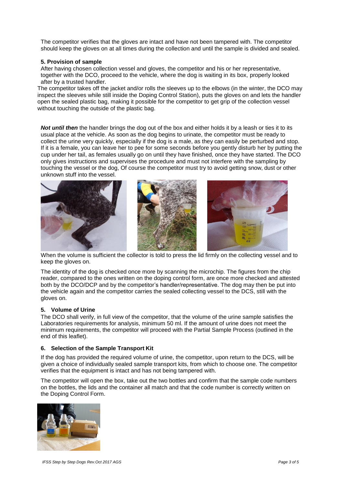The competitor verifies that the gloves are intact and have not been tampered with. The competitor should keep the gloves on at all times during the collection and until the sample is divided and sealed.

#### **5. Provision of sample**

After having chosen collection vessel and gloves, the competitor and his or her representative, together with the DCO, proceed to the vehicle, where the dog is waiting in its box, properly looked after by a trusted handler.

The competitor takes off the jacket and/or rolls the sleeves up to the elbows (in the winter, the DCO may inspect the sleeves while still inside the Doping Control Station), puts the gloves on and lets the handler open the sealed plastic bag, making it possible for the competitor to get grip of the collection vessel without touching the outside of the plastic bag.

*Not until then* the handler brings the dog out of the box and either holds it by a leash or ties it to its usual place at the vehicle. As soon as the dog begins to urinate, the competitor must be ready to collect the urine very quickly, especially if the dog is a male, as they can easily be perturbed and stop. If it is a female, you can leave her to pee for some seconds before you gently disturb her by putting the cup under her tail, as females usually go on until they have finished, once they have started. The DCO only gives instructions and supervises the procedure and must not interfere with the sampling by touching the vessel or the dog, Of course the competitor must try to avoid getting snow, dust or other unknown stuff into the vessel.



When the volume is sufficient the collector is told to press the lid firmly on the collecting vessel and to keep the gloves on.

The identity of the dog is checked once more by scanning the microchip. The figures from the chip reader, compared to the ones written on the doping control form, are once more checked and attested both by the DCO/DCP and by the competitor's handler/representative. The dog may then be put into the vehicle again and the competitor carries the sealed collecting vessel to the DCS, still with the gloves on.

#### **5. Volume of Urine**

The DCO shall verify, in full view of the competitor, that the volume of the urine sample satisfies the Laboratories requirements for analysis, minimum 50 ml. If the amount of urine does not meet the minimum requirements, the competitor will proceed with the Partial Sample Process (outlined in the end of this leaflet).

#### **6. Selection of the Sample Transport Kit**

If the dog has provided the required volume of urine, the competitor, upon return to the DCS, will be given a choice of individually sealed sample transport kits, from which to choose one. The competitor verifies that the equipment is intact and has not being tampered with.

The competitor will open the box, take out the two bottles and confirm that the sample code numbers on the bottles, the lids and the container all match and that the code number is correctly written on the Doping Control Form.

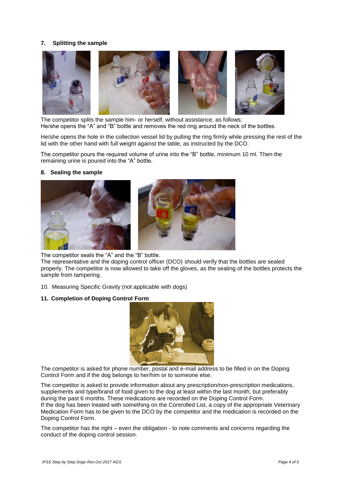#### **7. Splitting the sample**



The competitor splits the sample him- or herself, without assistance, as follows: He/she opens the "A" and "B" bottle and removes the red ring around the neck of the bottles.

He/she opens the hole in the collection vessel lid by pulling the ring firmly while pressing the rest of the lid with the other hand with full weight against the table, as instructed by the DCO.

The competitor pours the required volume of urine into the "B" bottle, minimum 10 ml. Then the remaining urine is poured into the "A" bottle.

#### **8. Sealing the sample**



The competitor seals the "A" and the "B" bottle.

The representative and the doping control officer (DCO) should verify that the bottles are sealed properly. The competitor is now allowed to take off the gloves, as the sealing of the bottles protects the sample from tampering.

10. Measuring Specific Gravity (not applicable with dogs)

#### **11. Completion of Doping Control Form**



The competitor is asked for phone number, postal and e-mail address to be filled in on the Doping Control Form and if the dog belongs to her/him or to someone else.

The competitor is asked to provide information about any prescription/non-prescription medications, supplements and type/brand of food given to the dog at least within the last month, but preferably during the past 6 months. These medications are recorded on the Doping Control Form. If the dog has been treated with something on the Controlled List, a copy of the appropriate Veterinary Medication Form has to be given to the DCO by the competitor and the medication is recorded on the Doping Control Form.

The competitor has the right – even the obligation - to note comments and concerns regarding the conduct of the doping control session.